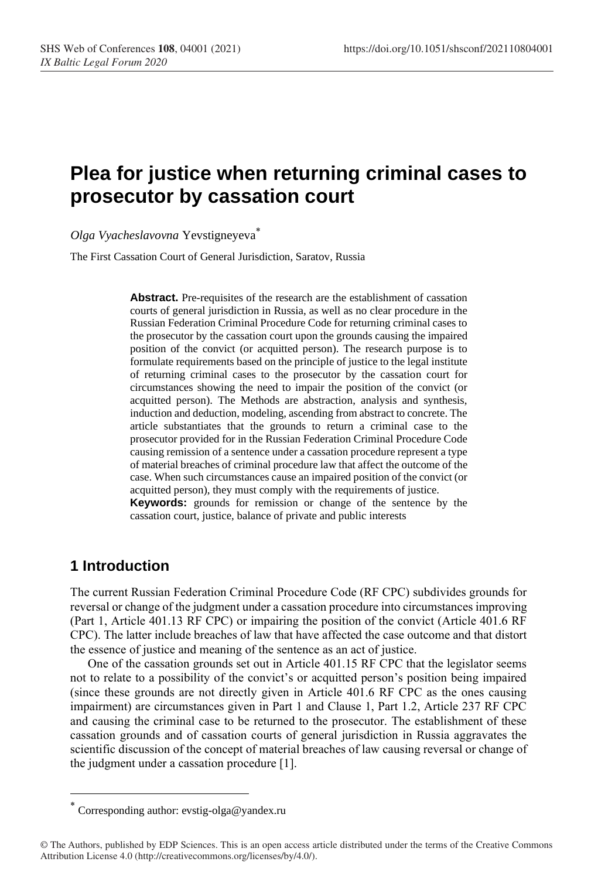# **Plea for justice when returning criminal cases to prosecutor by cassation court**

*Olga Vyacheslavovna* Yevstigneyeva\*

The First Cassation Court of General Jurisdiction, Saratov, Russia

**Abstract.** Pre-requisites of the research are the establishment of cassation courts of general jurisdiction in Russia, as well as no clear procedure in the Russian Federation Criminal Procedure Code for returning criminal cases to the prosecutor by the cassation court upon the grounds causing the impaired position of the convict (or acquitted person). The research purpose is to formulate requirements based on the principle of justice to the legal institute of returning criminal cases to the prosecutor by the cassation court for circumstances showing the need to impair the position of the convict (or acquitted person). The Methods are abstraction, analysis and synthesis, induction and deduction, modeling, ascending from abstract to concrete. The article substantiates that the grounds to return a criminal case to the prosecutor provided for in the Russian Federation Criminal Procedure Code causing remission of a sentence under a cassation procedure represent a type of material breaches of criminal procedure law that affect the outcome of the case. When such circumstances cause an impaired position of the convict (or acquitted person), they must comply with the requirements of justice.

**Keywords:** grounds for remission or change of the sentence by the cassation court, justice, balance of private and public interests

## **1 Introduction**

The current Russian Federation Criminal Procedure Code (RF CPC) subdivides grounds for reversal or change of the judgment under a cassation procedure into circumstances improving (Part 1, Article 401.13 RF CPC) or impairing the position of the convict (Article 401.6 RF CPC). The latter include breaches of law that have affected the case outcome and that distort the essence of justice and meaning of the sentence as an act of justice.

One of the cassation grounds set out in Article 401.15 RF CPC that the legislator seems not to relate to a possibility of the convict's or acquitted person's position being impaired (since these grounds are not directly given in Article 401.6 RF CPC as the ones causing impairment) are circumstances given in Part 1 and Clause 1, Part 1.2, Article 237 RF CPC and causing the criminal case to be returned to the prosecutor. The establishment of these cassation grounds and of cassation courts of general jurisdiction in Russia aggravates the scientific discussion of the concept of material breaches of law causing reversal or change of the judgment under a cassation procedure [1].

Corresponding author: evstig-olga@yandex.ru \*

<sup>©</sup> The Authors, published by EDP Sciences. This is an open access article distributed under the terms of the Creative Commons Attribution License 4.0 (http://creativecommons.org/licenses/by/4.0/).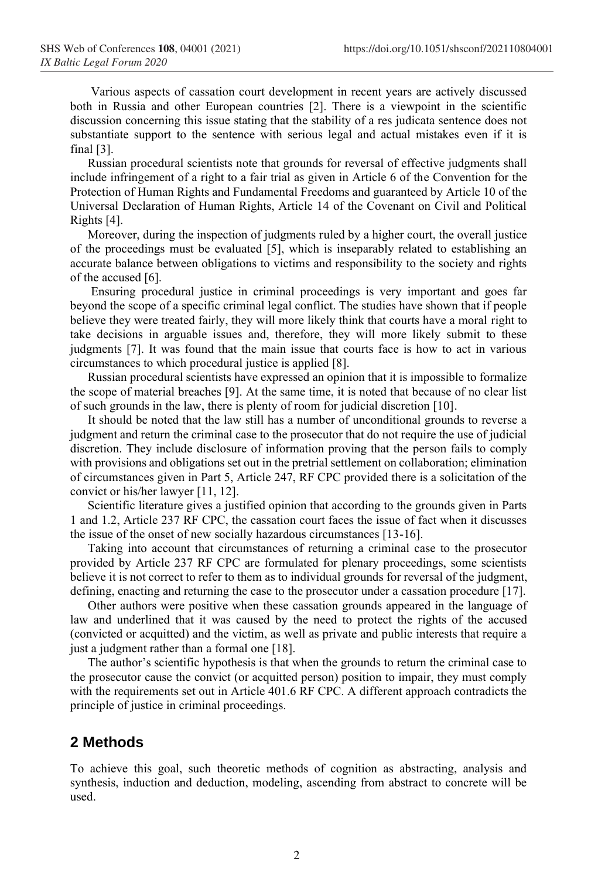Various aspects of cassation court development in recent years are actively discussed both in Russia and other European countries [2]. There is a viewpoint in the scientific discussion concerning this issue stating that the stability of a res judicata sentence does not substantiate support to the sentence with serious legal and actual mistakes even if it is final [3].

Russian procedural scientists note that grounds for reversal of effective judgments shall include infringement of a right to a fair trial as given in Article 6 of the Convention for the Protection of Human Rights and Fundamental Freedoms and guaranteed by Article 10 of the Universal Declaration of Human Rights, Article 14 of the Covenant on Civil and Political Rights [4].

Moreover, during the inspection of judgments ruled by a higher court, the overall justice of the proceedings must be evaluated [5], which is inseparably related to establishing an accurate balance between obligations to victims and responsibility to the society and rights of the accused [6].

Ensuring procedural justice in criminal proceedings is very important and goes far beyond the scope of a specific criminal legal conflict. The studies have shown that if people believe they were treated fairly, they will more likely think that courts have a moral right to take decisions in arguable issues and, therefore, they will more likely submit to these judgments [7]. It was found that the main issue that courts face is how to act in various circumstances to which procedural justice is applied [8].

Russian procedural scientists have expressed an opinion that it is impossible to formalize the scope of material breaches [9]. At the same time, it is noted that because of no clear list of such grounds in the law, there is plenty of room for judicial discretion [10].

It should be noted that the law still has a number of unconditional grounds to reverse a judgment and return the criminal case to the prosecutor that do not require the use of judicial discretion. They include disclosure of information proving that the person fails to comply with provisions and obligations set out in the pretrial settlement on collaboration; elimination of circumstances given in Part 5, Article 247, RF CPC provided there is a solicitation of the convict or his/her lawyer [11, 12].

Scientific literature gives a justified opinion that according to the grounds given in Parts 1 and 1.2, Article 237 RF CPC, the cassation court faces the issue of fact when it discusses the issue of the onset of new socially hazardous circumstances [13-16].

Taking into account that circumstances of returning a criminal case to the prosecutor provided by Article 237 RF CPC are formulated for plenary proceedings, some scientists believe it is not correct to refer to them as to individual grounds for reversal of the judgment, defining, enacting and returning the case to the prosecutor under a cassation procedure [17].

Other authors were positive when these cassation grounds appeared in the language of law and underlined that it was caused by the need to protect the rights of the accused (convicted or acquitted) and the victim, as well as private and public interests that require a just a judgment rather than a formal one [18].

The author's scientific hypothesis is that when the grounds to return the criminal case to the prosecutor cause the convict (or acquitted person) position to impair, they must comply with the requirements set out in Article 401.6 RF CPC. A different approach contradicts the principle of justice in criminal proceedings.

## **2 Methods**

To achieve this goal, such theoretic methods of cognition as abstracting, analysis and synthesis, induction and deduction, modeling, ascending from abstract to concrete will be used.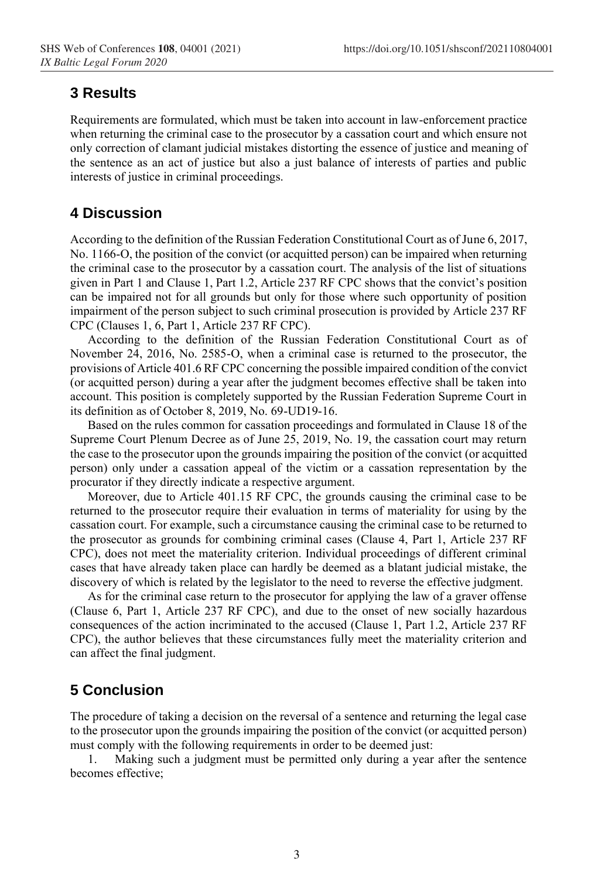#### **3 Results**

Requirements are formulated, which must be taken into account in law-enforcement practice when returning the criminal case to the prosecutor by a cassation court and which ensure not only correction of clamant judicial mistakes distorting the essence of justice and meaning of the sentence as an act of justice but also a just balance of interests of parties and public interests of justice in criminal proceedings.

## **4 Discussion**

According to the definition of the Russian Federation Constitutional Court as of June 6, 2017, No. 1166-O, the position of the convict (or acquitted person) can be impaired when returning the criminal case to the prosecutor by a cassation court. The analysis of the list of situations given in Part 1 and Clause 1, Part 1.2, Article 237 RF CPC shows that the convict's position can be impaired not for all grounds but only for those where such opportunity of position impairment of the person subject to such criminal prosecution is provided by Article 237 RF CPC (Clauses 1, 6, Part 1, Article 237 RF CPC).

According to the definition of the Russian Federation Constitutional Court as of November 24, 2016, No. 2585-O, when a criminal case is returned to the prosecutor, the provisions of Article 401.6 RF CPC concerning the possible impaired condition of the convict (or acquitted person) during a year after the judgment becomes effective shall be taken into account. This position is completely supported by the Russian Federation Supreme Court in its definition as of October 8, 2019, No. 69-UD19-16.

Based on the rules common for cassation proceedings and formulated in Clause 18 of the Supreme Court Plenum Decree as of June 25, 2019, No. 19, the cassation court may return the case to the prosecutor upon the grounds impairing the position of the convict (or acquitted person) only under a cassation appeal of the victim or a cassation representation by the procurator if they directly indicate a respective argument.

Moreover, due to Article 401.15 RF CPC, the grounds causing the criminal case to be returned to the prosecutor require their evaluation in terms of materiality for using by the cassation court. For example, such a circumstance causing the criminal case to be returned to the prosecutor as grounds for combining criminal cases (Clause 4, Part 1, Article 237 RF CPC), does not meet the materiality criterion. Individual proceedings of different criminal cases that have already taken place can hardly be deemed as a blatant judicial mistake, the discovery of which is related by the legislator to the need to reverse the effective judgment.

As for the criminal case return to the prosecutor for applying the law of a graver offense (Clause 6, Part 1, Article 237 RF CPC), and due to the onset of new socially hazardous consequences of the action incriminated to the accused (Clause 1, Part 1.2, Article 237 RF CPC), the author believes that these circumstances fully meet the materiality criterion and can affect the final judgment.

### **5 Conclusion**

The procedure of taking a decision on the reversal of a sentence and returning the legal case to the prosecutor upon the grounds impairing the position of the convict (or acquitted person) must comply with the following requirements in order to be deemed just:

1. Making such a judgment must be permitted only during a year after the sentence becomes effective;